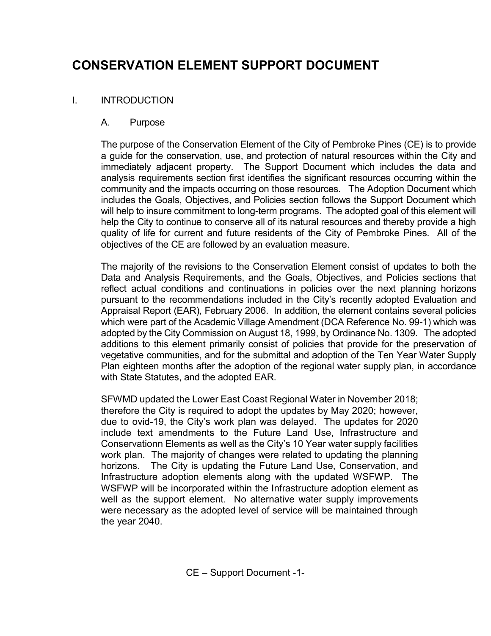# CONSERVATION ELEMENT SUPPORT DOCUMENT

# I. INTRODUCTION

### A. Purpose

 The purpose of the Conservation Element of the City of Pembroke Pines (CE) is to provide a guide for the conservation, use, and protection of natural resources within the City and immediately adjacent property. The Support Document which includes the data and analysis requirements section first identifies the significant resources occurring within the community and the impacts occurring on those resources. The Adoption Document which includes the Goals, Objectives, and Policies section follows the Support Document which will help to insure commitment to long-term programs. The adopted goal of this element will help the City to continue to conserve all of its natural resources and thereby provide a high quality of life for current and future residents of the City of Pembroke Pines. All of the objectives of the CE are followed by an evaluation measure.

 The majority of the revisions to the Conservation Element consist of updates to both the Data and Analysis Requirements, and the Goals, Objectives, and Policies sections that reflect actual conditions and continuations in policies over the next planning horizons pursuant to the recommendations included in the City's recently adopted Evaluation and Appraisal Report (EAR), February 2006. In addition, the element contains several policies which were part of the Academic Village Amendment (DCA Reference No. 99-1) which was adopted by the City Commission on August 18, 1999, by Ordinance No. 1309. The adopted additions to this element primarily consist of policies that provide for the preservation of vegetative communities, and for the submittal and adoption of the Ten Year Water Supply Plan eighteen months after the adoption of the regional water supply plan, in accordance with State Statutes, and the adopted EAR.

 SFWMD updated the Lower East Coast Regional Water in November 2018; therefore the City is required to adopt the updates by May 2020; however, due to ovid-19, the City's work plan was delayed. The updates for 2020 include text amendments to the Future Land Use, Infrastructure and Conservationn Elements as well as the City's 10 Year water supply facilities work plan. The majority of changes were related to updating the planning horizons. The City is updating the Future Land Use, Conservation, and Infrastructure adoption elements along with the updated WSFWP. The WSFWP will be incorporated within the Infrastructure adoption element as well as the support element. No alternative water supply improvements were necessary as the adopted level of service will be maintained through the year 2040.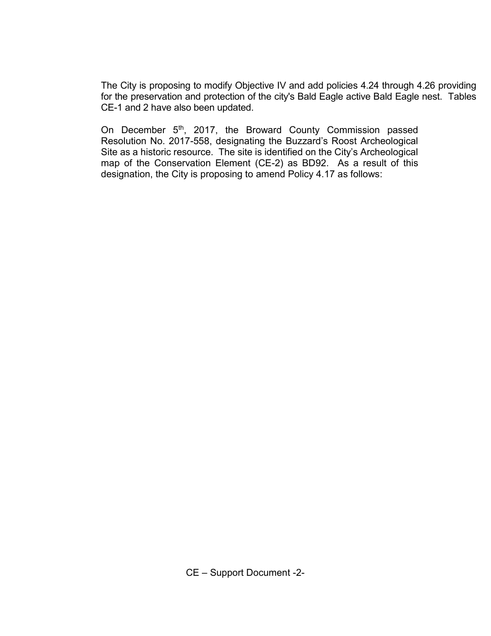The City is proposing to modify Objective IV and add policies 4.24 through 4.26 providing for the preservation and protection of the city's Bald Eagle active Bald Eagle nest. Tables CE-1 and 2 have also been updated.

On December 5<sup>th</sup>, 2017, the Broward County Commission passed Resolution No. 2017-558, designating the Buzzard's Roost Archeological Site as a historic resource. The site is identified on the City's Archeological map of the Conservation Element (CE-2) as BD92. As a result of this designation, the City is proposing to amend Policy 4.17 as follows: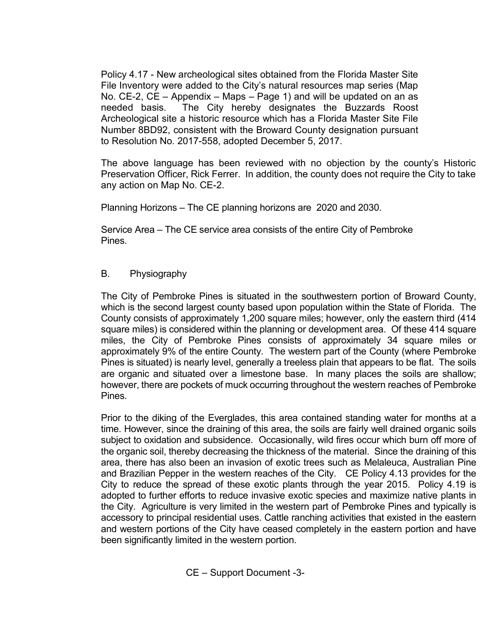Policy 4.17 - New archeological sites obtained from the Florida Master Site File Inventory were added to the City's natural resources map series (Map No. CE-2, CE – Appendix – Maps – Page 1) and will be updated on an as needed basis. The City hereby designates the Buzzards Roost Archeological site a historic resource which has a Florida Master Site File Number 8BD92, consistent with the Broward County designation pursuant to Resolution No. 2017-558, adopted December 5, 2017.

The above language has been reviewed with no objection by the county's Historic Preservation Officer, Rick Ferrer. In addition, the county does not require the City to take any action on Map No. CE-2.

Planning Horizons – The CE planning horizons are 2020 and 2030.

 Service Area – The CE service area consists of the entire City of Pembroke Pines.

## B. Physiography

 The City of Pembroke Pines is situated in the southwestern portion of Broward County, which is the second largest county based upon population within the State of Florida. The County consists of approximately 1,200 square miles; however, only the eastern third (414 square miles) is considered within the planning or development area. Of these 414 square miles, the City of Pembroke Pines consists of approximately 34 square miles or approximately 9% of the entire County. The western part of the County (where Pembroke Pines is situated) is nearly level, generally a treeless plain that appears to be flat. The soils are organic and situated over a limestone base. In many places the soils are shallow; however, there are pockets of muck occurring throughout the western reaches of Pembroke Pines.

Prior to the diking of the Everglades, this area contained standing water for months at a time. However, since the draining of this area, the soils are fairly well drained organic soils subject to oxidation and subsidence. Occasionally, wild fires occur which burn off more of the organic soil, thereby decreasing the thickness of the material. Since the draining of this area, there has also been an invasion of exotic trees such as Melaleuca, Australian Pine and Brazilian Pepper in the western reaches of the City. CE Policy 4.13 provides for the City to reduce the spread of these exotic plants through the year 2015. Policy 4.19 is adopted to further efforts to reduce invasive exotic species and maximize native plants in the City. Agriculture is very limited in the western part of Pembroke Pines and typically is accessory to principal residential uses. Cattle ranching activities that existed in the eastern and western portions of the City have ceased completely in the eastern portion and have been significantly limited in the western portion.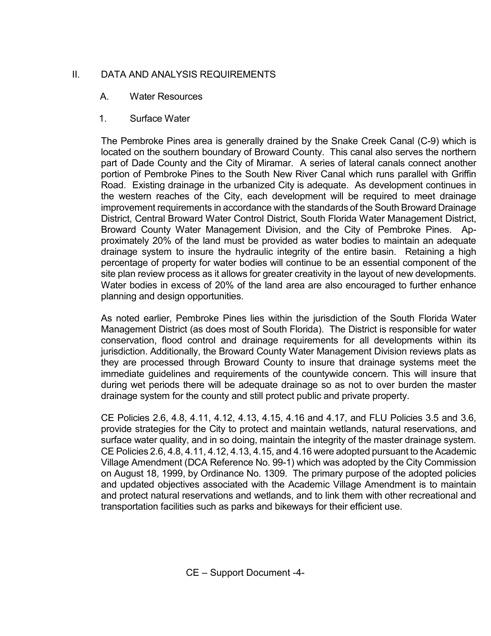## II. DATA AND ANALYSIS REQUIREMENTS

## A. Water Resources

1. Surface Water

 The Pembroke Pines area is generally drained by the Snake Creek Canal (C-9) which is located on the southern boundary of Broward County. This canal also serves the northern part of Dade County and the City of Miramar. A series of lateral canals connect another portion of Pembroke Pines to the South New River Canal which runs parallel with Griffin Road. Existing drainage in the urbanized City is adequate. As development continues in the western reaches of the City, each development will be required to meet drainage improvement requirements in accordance with the standards of the South Broward Drainage District, Central Broward Water Control District, South Florida Water Management District, Broward County Water Management Division, and the City of Pembroke Pines. Approximately 20% of the land must be provided as water bodies to maintain an adequate drainage system to insure the hydraulic integrity of the entire basin. Retaining a high percentage of property for water bodies will continue to be an essential component of the site plan review process as it allows for greater creativity in the layout of new developments. Water bodies in excess of 20% of the land area are also encouraged to further enhance planning and design opportunities.

As noted earlier, Pembroke Pines lies within the jurisdiction of the South Florida Water Management District (as does most of South Florida). The District is responsible for water conservation, flood control and drainage requirements for all developments within its jurisdiction. Additionally, the Broward County Water Management Division reviews plats as they are processed through Broward County to insure that drainage systems meet the immediate guidelines and requirements of the countywide concern. This will insure that during wet periods there will be adequate drainage so as not to over burden the master drainage system for the county and still protect public and private property.

 CE Policies 2.6, 4.8, 4.11, 4.12, 4.13, 4.15, 4.16 and 4.17, and FLU Policies 3.5 and 3.6, provide strategies for the City to protect and maintain wetlands, natural reservations, and surface water quality, and in so doing, maintain the integrity of the master drainage system. CE Policies 2.6, 4.8, 4.11, 4.12, 4.13, 4.15, and 4.16 were adopted pursuant to the Academic Village Amendment (DCA Reference No. 99-1) which was adopted by the City Commission on August 18, 1999, by Ordinance No. 1309. The primary purpose of the adopted policies and updated objectives associated with the Academic Village Amendment is to maintain and protect natural reservations and wetlands, and to link them with other recreational and transportation facilities such as parks and bikeways for their efficient use.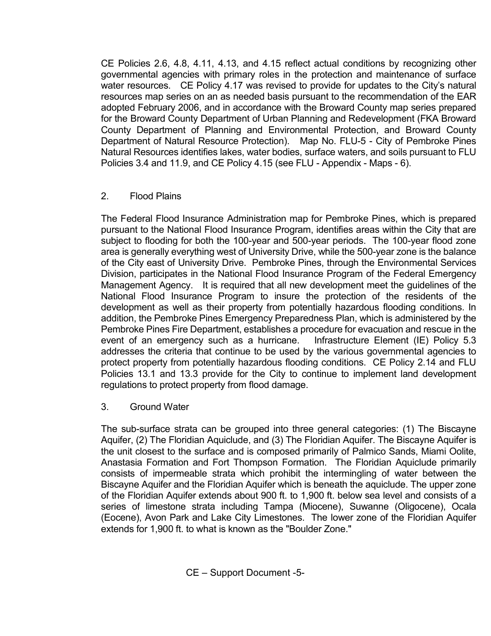CE Policies 2.6, 4.8, 4.11, 4.13, and 4.15 reflect actual conditions by recognizing other governmental agencies with primary roles in the protection and maintenance of surface water resources. CE Policy 4.17 was revised to provide for updates to the City's natural resources map series on an as needed basis pursuant to the recommendation of the EAR adopted February 2006, and in accordance with the Broward County map series prepared for the Broward County Department of Urban Planning and Redevelopment (FKA Broward County Department of Planning and Environmental Protection, and Broward County Department of Natural Resource Protection). Map No. FLU-5 - City of Pembroke Pines Natural Resources identifies lakes, water bodies, surface waters, and soils pursuant to FLU Policies 3.4 and 11.9, and CE Policy 4.15 (see FLU - Appendix - Maps - 6).

### 2. Flood Plains

The Federal Flood Insurance Administration map for Pembroke Pines, which is prepared pursuant to the National Flood Insurance Program, identifies areas within the City that are subject to flooding for both the 100-year and 500-year periods. The 100-year flood zone area is generally everything west of University Drive, while the 500-year zone is the balance of the City east of University Drive. Pembroke Pines, through the Environmental Services Division, participates in the National Flood Insurance Program of the Federal Emergency Management Agency. It is required that all new development meet the guidelines of the National Flood Insurance Program to insure the protection of the residents of the development as well as their property from potentially hazardous flooding conditions. In addition, the Pembroke Pines Emergency Preparedness Plan, which is administered by the Pembroke Pines Fire Department, establishes a procedure for evacuation and rescue in the event of an emergency such as a hurricane. Infrastructure Element (IE) Policy 5.3 addresses the criteria that continue to be used by the various governmental agencies to protect property from potentially hazardous flooding conditions. CE Policy 2.14 and FLU Policies 13.1 and 13.3 provide for the City to continue to implement land development regulations to protect property from flood damage.

### 3. Ground Water

 The sub-surface strata can be grouped into three general categories: (1) The Biscayne Aquifer, (2) The Floridian Aquiclude, and (3) The Floridian Aquifer. The Biscayne Aquifer is the unit closest to the surface and is composed primarily of Palmico Sands, Miami Oolite, Anastasia Formation and Fort Thompson Formation. The Floridian Aquiclude primarily consists of impermeable strata which prohibit the intermingling of water between the Biscayne Aquifer and the Floridian Aquifer which is beneath the aquiclude. The upper zone of the Floridian Aquifer extends about 900 ft. to 1,900 ft. below sea level and consists of a series of limestone strata including Tampa (Miocene), Suwanne (Oligocene), Ocala (Eocene), Avon Park and Lake City Limestones. The lower zone of the Floridian Aquifer extends for 1,900 ft. to what is known as the "Boulder Zone."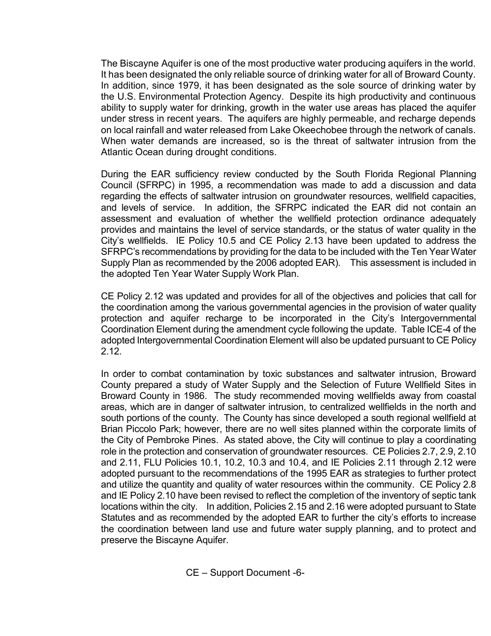The Biscayne Aquifer is one of the most productive water producing aquifers in the world. It has been designated the only reliable source of drinking water for all of Broward County. In addition, since 1979, it has been designated as the sole source of drinking water by the U.S. Environmental Protection Agency. Despite its high productivity and continuous ability to supply water for drinking, growth in the water use areas has placed the aquifer under stress in recent years. The aquifers are highly permeable, and recharge depends on local rainfall and water released from Lake Okeechobee through the network of canals. When water demands are increased, so is the threat of saltwater intrusion from the Atlantic Ocean during drought conditions.

During the EAR sufficiency review conducted by the South Florida Regional Planning Council (SFRPC) in 1995, a recommendation was made to add a discussion and data regarding the effects of saltwater intrusion on groundwater resources, wellfield capacities, and levels of service. In addition, the SFRPC indicated the EAR did not contain an assessment and evaluation of whether the wellfield protection ordinance adequately provides and maintains the level of service standards, or the status of water quality in the City's wellfields. IE Policy 10.5 and CE Policy 2.13 have been updated to address the SFRPC's recommendations by providing for the data to be included with the Ten Year Water Supply Plan as recommended by the 2006 adopted EAR). This assessment is included in the adopted Ten Year Water Supply Work Plan.

CE Policy 2.12 was updated and provides for all of the objectives and policies that call for the coordination among the various governmental agencies in the provision of water quality protection and aquifer recharge to be incorporated in the City's Intergovernmental Coordination Element during the amendment cycle following the update. Table ICE-4 of the adopted Intergovernmental Coordination Element will also be updated pursuant to CE Policy 2.12.

In order to combat contamination by toxic substances and saltwater intrusion, Broward County prepared a study of Water Supply and the Selection of Future Wellfield Sites in Broward County in 1986. The study recommended moving wellfields away from coastal areas, which are in danger of saltwater intrusion, to centralized wellfields in the north and south portions of the county. The County has since developed a south regional wellfield at Brian Piccolo Park; however, there are no well sites planned within the corporate limits of the City of Pembroke Pines. As stated above, the City will continue to play a coordinating role in the protection and conservation of groundwater resources. CE Policies 2.7, 2.9, 2.10 and 2.11, FLU Policies 10.1, 10.2, 10.3 and 10.4, and IE Policies 2.11 through 2.12 were adopted pursuant to the recommendations of the 1995 EAR as strategies to further protect and utilize the quantity and quality of water resources within the community. CE Policy 2.8 and IE Policy 2.10 have been revised to reflect the completion of the inventory of septic tank locations within the city. In addition, Policies 2.15 and 2.16 were adopted pursuant to State Statutes and as recommended by the adopted EAR to further the city's efforts to increase the coordination between land use and future water supply planning, and to protect and preserve the Biscayne Aquifer.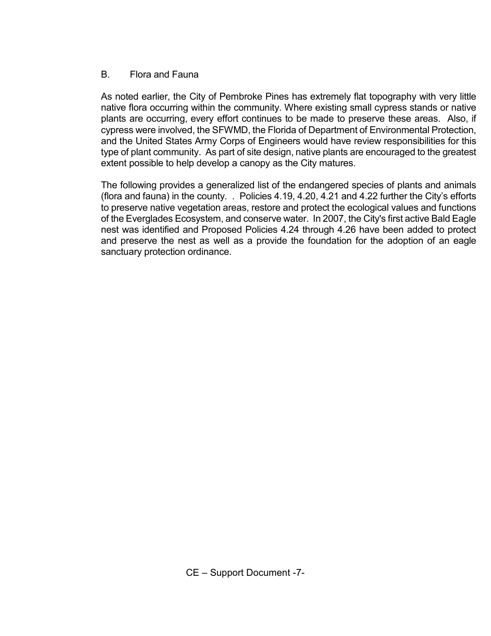#### B. Flora and Fauna

 As noted earlier, the City of Pembroke Pines has extremely flat topography with very little native flora occurring within the community. Where existing small cypress stands or native plants are occurring, every effort continues to be made to preserve these areas. Also, if cypress were involved, the SFWMD, the Florida of Department of Environmental Protection, and the United States Army Corps of Engineers would have review responsibilities for this type of plant community. As part of site design, native plants are encouraged to the greatest extent possible to help develop a canopy as the City matures.

The following provides a generalized list of the endangered species of plants and animals (flora and fauna) in the county. . Policies 4.19, 4.20, 4.21 and 4.22 further the City's efforts to preserve native vegetation areas, restore and protect the ecological values and functions of the Everglades Ecosystem, and conserve water. In 2007, the City's first active Bald Eagle nest was identified and Proposed Policies 4.24 through 4.26 have been added to protect and preserve the nest as well as a provide the foundation for the adoption of an eagle sanctuary protection ordinance.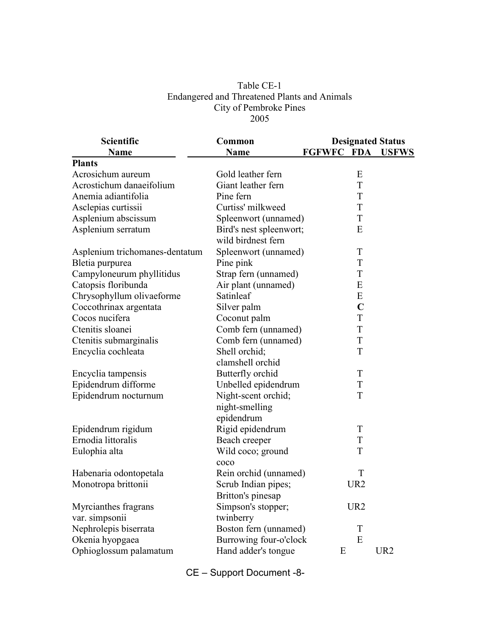#### Table CE-1 Endangered and Threatened Plants and Animals City of Pembroke Pines 2005

| Scientific                     | Common                  |            |                 | <b>Designated Status</b> |
|--------------------------------|-------------------------|------------|-----------------|--------------------------|
| <b>Name</b>                    | Name                    | FGFWFC FDA |                 | <b>USFWS</b>             |
| <b>Plants</b>                  |                         |            |                 |                          |
| Acrosichum aureum              | Gold leather fern       |            | ${\bf E}$       |                          |
| Acrostichum danaeifolium       | Giant leather fern      |            | $\mathbf T$     |                          |
| Anemia adiantifolia            | Pine fern               |            | $\mathbf T$     |                          |
| Asclepias curtissii            | Curtiss' milkweed       |            | T               |                          |
| Asplenium abscissum            | Spleenwort (unnamed)    |            | $\mathbf T$     |                          |
| Asplenium serratum             | Bird's nest spleenwort; |            | E               |                          |
|                                | wild birdnest fern      |            |                 |                          |
| Asplenium trichomanes-dentatum | Spleenwort (unnamed)    |            | T               |                          |
| Bletia purpurea                | Pine pink               |            | T               |                          |
| Campyloneurum phyllitidus      | Strap fern (unnamed)    |            | $\mathbf T$     |                          |
| Catopsis floribunda            | Air plant (unnamed)     |            | E               |                          |
| Chrysophyllum olivaeforme      | Satinleaf               |            | E               |                          |
| Coccothrinax argentata         | Silver palm             |            | $\mathbf C$     |                          |
| Cocos nucifera                 | Coconut palm            |            | $\mathbf T$     |                          |
| Ctenitis sloanei               | Comb fern (unnamed)     |            | T               |                          |
| Ctenitis submarginalis         | Comb fern (unnamed)     |            | T               |                          |
| Encyclia cochleata             | Shell orchid;           |            | T               |                          |
|                                | clamshell orchid        |            |                 |                          |
| Encyclia tampensis             | Butterfly orchid        |            | T               |                          |
| Epidendrum difforme            | Unbelled epidendrum     |            | T               |                          |
| Epidendrum nocturnum           | Night-scent orchid;     |            | T               |                          |
|                                | night-smelling          |            |                 |                          |
|                                | epidendrum              |            |                 |                          |
| Epidendrum rigidum             | Rigid epidendrum        |            | T               |                          |
| Ernodia littoralis             | Beach creeper           |            | T               |                          |
| Eulophia alta                  | Wild coco; ground       |            | T               |                          |
|                                | coco                    |            |                 |                          |
| Habenaria odontopetala         | Rein orchid (unnamed)   |            | T               |                          |
| Monotropa brittonii            | Scrub Indian pipes;     |            | UR <sub>2</sub> |                          |
|                                | Britton's pinesap       |            |                 |                          |
| Myrcianthes fragrans           | Simpson's stopper;      |            | UR <sub>2</sub> |                          |
| var. simpsonii                 | twinberry               |            |                 |                          |
| Nephrolepis biserrata          | Boston fern (unnamed)   |            | T               |                          |
| Okenia hyopgaea                | Burrowing four-o'clock  |            | E               |                          |
| Ophioglossum palamatum         | Hand adder's tongue     | E          |                 | UR <sub>2</sub>          |

CE – Support Document -8-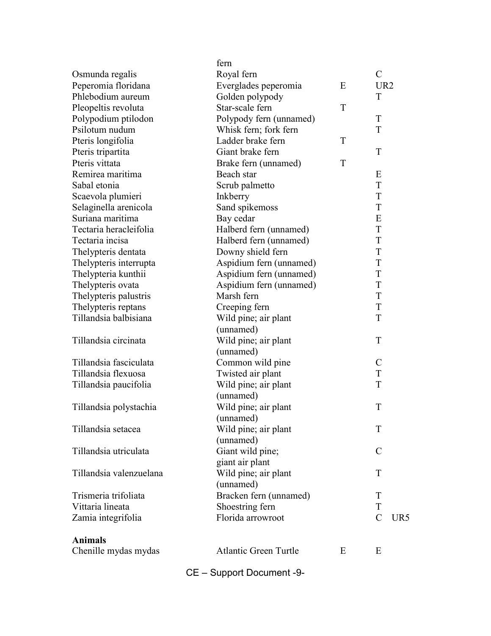|                         | fern                         |   |                 |     |
|-------------------------|------------------------------|---|-----------------|-----|
| Osmunda regalis         | Royal fern                   |   | $\mathcal{C}$   |     |
| Peperomia floridana     | Everglades peperomia         | E | UR <sub>2</sub> |     |
| Phlebodium aureum       | Golden polypody              |   | T               |     |
| Pleopeltis revoluta     | Star-scale fern              | T |                 |     |
| Polypodium ptilodon     | Polypody fern (unnamed)      |   | $\mathbf T$     |     |
| Psilotum nudum          | Whisk fern; fork fern        |   | T               |     |
| Pteris longifolia       | Ladder brake fern            | T |                 |     |
| Pteris tripartita       | Giant brake fern             |   | T               |     |
| Pteris vittata          | Brake fern (unnamed)         | T |                 |     |
| Remirea maritima        | Beach star                   |   | E               |     |
| Sabal etonia            | Scrub palmetto               |   | T               |     |
| Scaevola plumieri       | Inkberry                     |   | T               |     |
| Selaginella arenicola   | Sand spikemoss               |   | T               |     |
| Suriana maritima        | Bay cedar                    |   | E               |     |
| Tectaria heracleifolia  | Halberd fern (unnamed)       |   | T               |     |
| Tectaria incisa         | Halberd fern (unnamed)       |   | T               |     |
| Thelypteris dentata     | Downy shield fern            |   | T               |     |
| Thelypteris interrupta  | Aspidium fern (unnamed)      |   | T               |     |
| Thelypteria kunthii     | Aspidium fern (unnamed)      |   | T               |     |
| Thelypteris ovata       | Aspidium fern (unnamed)      |   | $\rm T$         |     |
| Thelypteris palustris   | Marsh fern                   |   | T               |     |
| Thelypteris reptans     | Creeping fern                |   | T               |     |
| Tillandsia balbisiana   | Wild pine; air plant         |   | T               |     |
|                         | (unnamed)                    |   |                 |     |
| Tillandsia circinata    | Wild pine; air plant         |   | $\mathbf T$     |     |
|                         | (unnamed)                    |   |                 |     |
| Tillandsia fasciculata  | Common wild pine             |   | $\mathcal{C}$   |     |
| Tillandsia flexuosa     | Twisted air plant            |   | T               |     |
| Tillandsia paucifolia   | Wild pine; air plant         |   | T               |     |
|                         | (unnamed)                    |   |                 |     |
| Tillandsia polystachia  | Wild pine; air plant         |   | T               |     |
|                         | (unnamed)                    |   |                 |     |
| Tillandsia setacea      | Wild pine; air plant         |   | T               |     |
|                         | (unnamed)                    |   |                 |     |
| Tillandsia utriculata   | Giant wild pine;             |   | $\mathcal{C}$   |     |
|                         | giant air plant              |   |                 |     |
| Tillandsia valenzuelana | Wild pine; air plant         |   | T               |     |
|                         | (unnamed)                    |   |                 |     |
| Trismeria trifoliata    | Bracken fern (unnamed)       |   | T               |     |
| Vittaria lineata        | Shoestring fern              |   | T               |     |
| Zamia integrifolia      | Florida arrowroot            |   | $\mathcal{C}$   | UR5 |
|                         |                              |   |                 |     |
| <b>Animals</b>          |                              |   |                 |     |
| Chenille mydas mydas    | <b>Atlantic Green Turtle</b> | E | E               |     |
|                         |                              |   |                 |     |

CE – Support Document -9-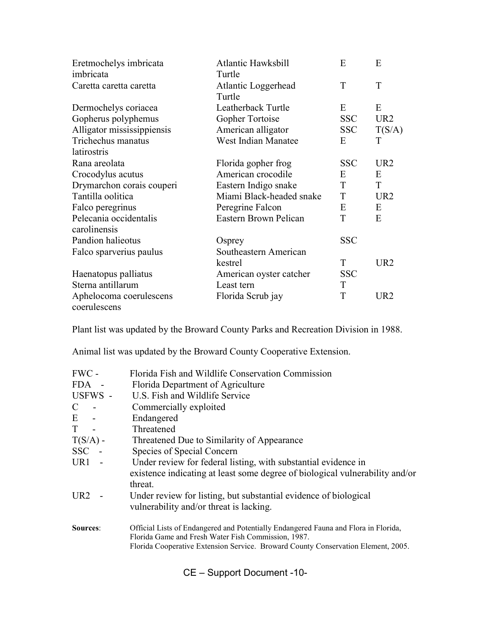| Eretmochelys imbricata<br>imbricata | Atlantic Hawksbill<br>Turtle  | E          | E               |
|-------------------------------------|-------------------------------|------------|-----------------|
| Caretta caretta caretta             | Atlantic Loggerhead<br>Turtle | T          | T               |
| Dermochelys coriacea                | Leatherback Turtle            | E          | E               |
| Gopherus polyphemus                 | Gopher Tortoise               | <b>SSC</b> | UR <sub>2</sub> |
| Alligator mississippiensis          | American alligator            | <b>SSC</b> | T(S/A)          |
| Trichechus manatus                  | <b>West Indian Manatee</b>    | E          | T               |
| latirostris                         |                               |            |                 |
| Rana areolata                       | Florida gopher frog           | <b>SSC</b> | UR <sub>2</sub> |
| Crocodylus acutus                   | American crocodile            | E          | E               |
| Drymarchon corais couperi           | Eastern Indigo snake          | T          | T               |
| Tantilla oolitica                   | Miami Black-headed snake      | T          | UR <sub>2</sub> |
| Falco peregrinus                    | Peregrine Falcon              | E          | E               |
| Pelecania occidentalis              | Eastern Brown Pelican         | T          | E               |
| carolinensis                        |                               |            |                 |
| Pandion halieotus                   | Osprey                        | <b>SSC</b> |                 |
| Falco sparverius paulus             | Southeastern American         |            |                 |
|                                     | kestrel                       | T          | UR <sub>2</sub> |
| Haenatopus palliatus                | American oyster catcher       | <b>SSC</b> |                 |
| Sterna antillarum                   | Least tern                    | T          |                 |
| Aphelocoma coerulescens             | Florida Scrub jay             | T          | UR <sub>2</sub> |
| coerulescens                        |                               |            |                 |

Plant list was updated by the Broward County Parks and Recreation Division in 1988.

Animal list was updated by the Broward County Cooperative Extension.

| FWC -           | Florida Fish and Wildlife Conservation Commission                                                                                                                                                                               |
|-----------------|---------------------------------------------------------------------------------------------------------------------------------------------------------------------------------------------------------------------------------|
| FDA -           | Florida Department of Agriculture                                                                                                                                                                                               |
| USFWS -         | U.S. Fish and Wildlife Service                                                                                                                                                                                                  |
| $\mathsf{C}$    | Commercially exploited                                                                                                                                                                                                          |
| $E -$           | Endangered                                                                                                                                                                                                                      |
| $T -$           | Threatened                                                                                                                                                                                                                      |
| $T(S/A)$ -      | Threatened Due to Similarity of Appearance                                                                                                                                                                                      |
| SSC -           | Species of Special Concern                                                                                                                                                                                                      |
| $UR1 -$         | Under review for federal listing, with substantial evidence in<br>existence indicating at least some degree of biological vulnerability and/or<br>threat.                                                                       |
| UR2 -           | Under review for listing, but substantial evidence of biological<br>vulnerability and/or threat is lacking.                                                                                                                     |
| <b>Sources:</b> | Official Lists of Endangered and Potentially Endangered Fauna and Flora in Florida,<br>Florida Game and Fresh Water Fish Commission, 1987.<br>Florida Cooperative Extension Service. Broward County Conservation Element, 2005. |

CE – Support Document -10-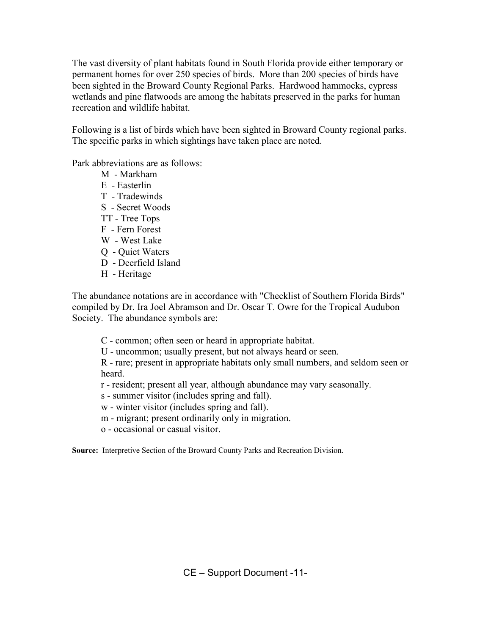The vast diversity of plant habitats found in South Florida provide either temporary or permanent homes for over 250 species of birds. More than 200 species of birds have been sighted in the Broward County Regional Parks. Hardwood hammocks, cypress wetlands and pine flatwoods are among the habitats preserved in the parks for human recreation and wildlife habitat.

Following is a list of birds which have been sighted in Broward County regional parks. The specific parks in which sightings have taken place are noted.

Park abbreviations are as follows:

- M Markham
- E Easterlin
- T Tradewinds
- S Secret Woods
- TT Tree Tops
- F Fern Forest
- W West Lake
- Q Quiet Waters
- D Deerfield Island
- H Heritage

The abundance notations are in accordance with "Checklist of Southern Florida Birds" compiled by Dr. Ira Joel Abramson and Dr. Oscar T. Owre for the Tropical Audubon Society. The abundance symbols are:

C - common; often seen or heard in appropriate habitat.

U - uncommon; usually present, but not always heard or seen.

R - rare; present in appropriate habitats only small numbers, and seldom seen or heard.

r - resident; present all year, although abundance may vary seasonally.

- s summer visitor (includes spring and fall).
- w winter visitor (includes spring and fall).
- m migrant; present ordinarily only in migration.
- o occasional or casual visitor.

Source: Interpretive Section of the Broward County Parks and Recreation Division.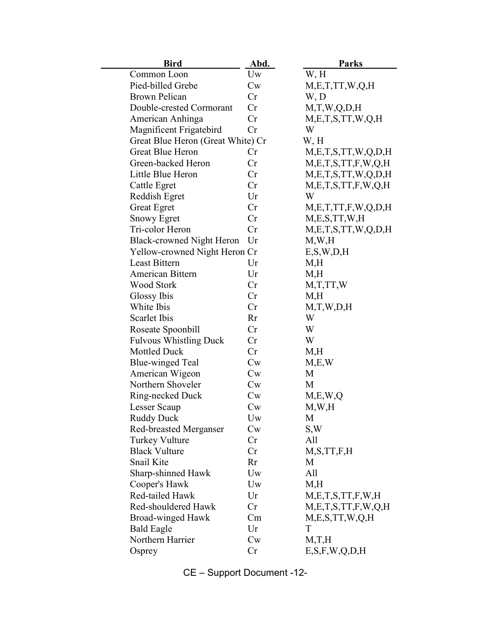| <b>Bird</b>                       | Abd.             | <b>Parks</b>               |
|-----------------------------------|------------------|----------------------------|
| Common Loon                       | Uw               | W, H                       |
| Pied-billed Grebe                 | Cw               | M, E, T, TT, W, Q, H       |
| <b>Brown Pelican</b>              | Cr               | W, D                       |
| Double-crested Cormorant          | Cr               | M,T,W,Q,D,H                |
| American Anhinga                  | Cr               | M, E, T, S, TT, W, Q, H    |
| Magnificent Frigatebird           | Cr               | W                          |
| Great Blue Heron (Great White) Cr |                  | W, H                       |
| <b>Great Blue Heron</b>           | Cr               | M, E, T, S, TT, W, Q, D, H |
| Green-backed Heron                | Cr               | M, E, T, S, TT, F, W, Q, H |
| Little Blue Heron                 | Cr               | M, E, T, S, TT, W, Q, D, H |
| <b>Cattle Egret</b>               | Cr               | M, E, T, S, TT, F, W, Q, H |
| Reddish Egret                     | Ur               | W                          |
| <b>Great Egret</b>                | Cr               | M, E, T, TT, F, W, Q, D, H |
| <b>Snowy Egret</b>                | Cr               | M, E, S, TT, W, H          |
| Tri-color Heron                   | Cr               | M, E, T, S, TT, W, Q, D, H |
| <b>Black-crowned Night Heron</b>  | Ur               | M,W,H                      |
| Yellow-crowned Night Heron Cr     |                  | E, S, W, D, H              |
| Least Bittern                     | Ur               | M,H                        |
| American Bittern                  | Ur               | M,H                        |
| <b>Wood Stork</b>                 | Cr               | M,T,TT,W                   |
| Glossy Ibis                       | Cr               | M,H                        |
| White Ibis                        | Cr               | M,T,W,D,H                  |
| Scarlet Ibis                      | Rr               | W                          |
| Roseate Spoonbill                 | Cr               | W                          |
| <b>Fulvous Whistling Duck</b>     | Cr               | W                          |
| <b>Mottled Duck</b>               | Cr               | M,H                        |
| <b>Blue-winged Teal</b>           | $C_{W}$          | M,E,W                      |
| American Wigeon                   | $C_{W}$          | M                          |
| Northern Shoveler                 | $\mathrm{Cw}$    | M                          |
| Ring-necked Duck                  | $\mathrm{C}_{W}$ | M, E, W, Q                 |
| Lesser Scaup                      | $C_{W}$          | M,W,H                      |
| Ruddy Duck                        | Uw               | M                          |
| <b>Red-breasted Merganser</b>     | $\mathrm{Cw}$    | S,W                        |
| <b>Turkey Vulture</b>             | Cr               | All                        |
| <b>Black Vulture</b>              | Cr               | M, S, TT, F, H             |
| Snail Kite                        | Rr               | M                          |
| Sharp-shinned Hawk                | Uw               | All                        |
| Cooper's Hawk                     | Uw               | M,H                        |
| Red-tailed Hawk                   | Ur               | M, E, T, S, TT, F, W, H    |
| Red-shouldered Hawk               | Cr               | M, E, T, S, TT, F, W, Q, H |
| Broad-winged Hawk                 | Cm               | M,E,S,TT,W,Q,H             |
| <b>Bald Eagle</b>                 | Ur               | T                          |
| Northern Harrier                  | $\mathrm{Cw}$    | M,T,H                      |
| Osprey                            | Cr               | E, S, F, W, Q, D, H        |

CE – Support Document -12-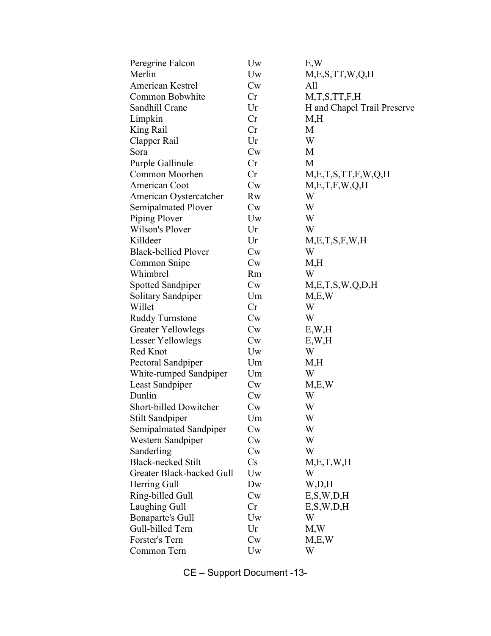| Peregrine Falcon            | Uw               | E, W                        |
|-----------------------------|------------------|-----------------------------|
| Merlin                      | Uw               | M, E, S, TT, W, Q, H        |
| <b>American Kestrel</b>     | $\mathrm{C}_{W}$ | All                         |
| Common Bobwhite             | Cr               | M, T, S, TT, F, H           |
| Sandhill Crane              | Ur               | H and Chapel Trail Preserve |
| Limpkin                     | Cr               | M,H                         |
| King Rail                   | Cr               | M                           |
| Clapper Rail                | Ur               | W                           |
| Sora                        | Cw               | M                           |
| Purple Gallinule            | Cr               | M                           |
| Common Moorhen              | Cr               | M, E, T, S, TT, F, W, Q, H  |
| American Coot               | Cw               | M,E,T,F,W,Q,H               |
| American Oystercatcher      | Rw               | W                           |
| Semipalmated Plover         | $C_{W}$          | W                           |
| Piping Plover               | Uw               | W                           |
| Wilson's Plover             | Ur               | W                           |
| Killdeer                    | Ur               | M,E,T,S,F,W,H               |
| <b>Black-bellied Plover</b> | $C_{W}$          | W                           |
| Common Snipe                | $C_{W}$          | M,H                         |
| Whimbrel                    | Rm               | W                           |
| Spotted Sandpiper           | Cw               | M, E, T, S, W, Q, D, H      |
| Solitary Sandpiper          | Um               | M,E,W                       |
| Willet                      | Cr               | W                           |
| <b>Ruddy Turnstone</b>      | Cw               | W                           |
| <b>Greater Yellowlegs</b>   | $C_{W}$          | E, W, H                     |
| Lesser Yellowlegs           | Cw               | E, W, H                     |
| Red Knot                    | Uw               | W                           |
| Pectoral Sandpiper          | Um               | M,H                         |
| White-rumped Sandpiper      | Um               | W                           |
| Least Sandpiper             | $\mathrm{C}_{W}$ | M.E.W                       |
| Dunlin                      | $C_{W}$          | W                           |
| Short-billed Dowitcher      | Cw               | W                           |
| Stilt Sandpiper             | Um               | W                           |
| Semipalmated Sandpiper      | $\mathrm{Cw}$    | W                           |
| Western Sandpiper           | Cw               | W                           |
| Sanderling                  | Cw               | W                           |
| <b>Black-necked Stilt</b>   | Cs               | M, E, T, W, H               |
| Greater Black-backed Gull   | Uw               | W                           |
| Herring Gull                | Dw               | W,D,H                       |
| Ring-billed Gull            | $\mathrm{Cw}$    | E, S, W, D, H               |
| Laughing Gull               | Cr               | E, S, W, D, H               |
| Bonaparte's Gull            | Uw               | W                           |
| Gull-billed Tern            | Ur               | M,W                         |
| Forster's Tern              | $C_{W}$          | M,E,W                       |
| Common Tern                 | Uw               | W                           |

CE – Support Document -13-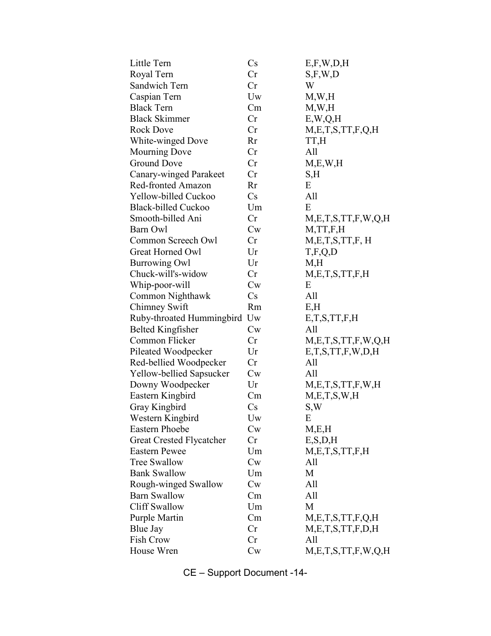| Little Tern                  | $\mathbf{C}\mathbf{s}$ | E, F, W, D, H              |
|------------------------------|------------------------|----------------------------|
| Royal Tern                   | Cr                     | S, F, W, D                 |
| Sandwich Tern                | Cr                     | W                          |
| Caspian Tern                 | Uw                     | M,W,H                      |
| <b>Black Tern</b>            | Cm                     | M,W,H                      |
| <b>Black Skimmer</b>         | Cr                     | E, W, Q, H                 |
| <b>Rock Dove</b>             | Cr                     | M,E,T,S,TT,F,Q,H           |
| White-winged Dove            | <b>Rr</b>              | TT,H                       |
| <b>Mourning Dove</b>         | Cr                     | All                        |
| <b>Ground Dove</b>           | Cr                     | M, E, W, H                 |
| Canary-winged Parakeet       | Cr                     | S,H                        |
| Red-fronted Amazon           | Rr                     | E                          |
| Yellow-billed Cuckoo         | Cs                     | All                        |
| <b>Black-billed Cuckoo</b>   | Um                     | E                          |
| Smooth-billed Ani            | Cr                     | M, E, T, S, TT, F, W, Q, H |
| Barn Owl                     | $C_{W}$                | M, TT, F, H                |
| Common Screech Owl           | Cr                     | M,E,T,S,TT,F,H             |
| Great Horned Owl             | Ur                     | T, F, Q, D                 |
| <b>Burrowing Owl</b>         | Ur                     | M,H                        |
| Chuck-will's-widow           | Cr                     | M, E, T, S, TT, F, H       |
| Whip-poor-will               | $C_{W}$                | E                          |
| Common Nighthawk             | Cs                     | All                        |
| Chimney Swift                | <b>Rm</b>              | E,H                        |
| Ruby-throated Hummingbird Uw |                        | E, T, S, TT, F, H          |
| <b>Belted Kingfisher</b>     | Cw                     | All                        |
| Common Flicker               | Cr                     | M, E, T, S, TT, F, W, Q, H |
| Pileated Woodpecker          | Ur                     | E, T, S, TT, F, W, D, H    |
| Red-bellied Woodpecker       | Cr                     | All                        |
| Yellow-bellied Sapsucker     | $C_{W}$                | All                        |
| Downy Woodpecker             | Ur                     | M, E, T, S, TT, F, W, H    |
| Eastern Kingbird             | Cm                     | M, E, T, S, W, H           |
| Gray Kingbird                | $\mathbf{C}\mathbf{s}$ | S,W                        |
| Western Kingbird             | Uw                     | E                          |
| <b>Eastern Phoebe</b>        | $C_{W}$                | M,E,H                      |
| Great Crested Flycatcher     | Cr                     | E, S, D, H                 |
| <b>Eastern Pewee</b>         | Um                     | M, E, T, S, TT, F, H       |
| <b>Tree Swallow</b>          | Cw                     | All                        |
| <b>Bank Swallow</b>          | Um                     | M                          |
| Rough-winged Swallow         | Cw                     | All                        |
| <b>Barn Swallow</b>          | Cm                     | All                        |
| <b>Cliff Swallow</b>         | Um                     | M                          |
| Purple Martin                | Cm                     | M, E, T, S, TT, F, Q, H    |
| Blue Jay                     | Cr                     | M, E, T, S, TT, F, D, H    |
| Fish Crow                    | Cr                     | All                        |
| House Wren                   | Cw                     | M, E, T, S, TT, F, W, Q, H |
|                              |                        |                            |

CE – Support Document -14-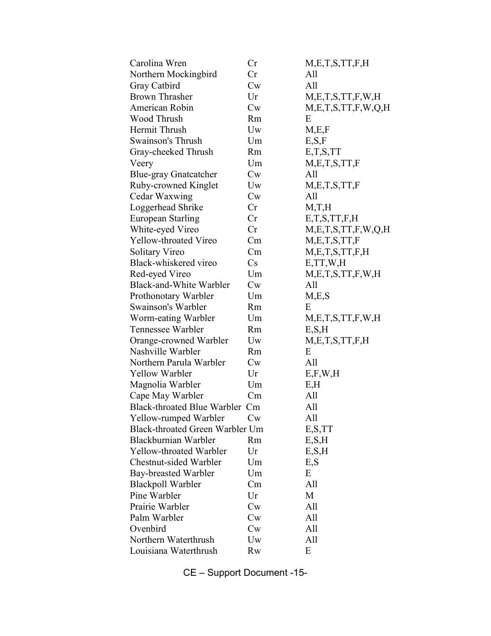| Carolina Wren                   | Cr            | M, E, T, S, TT, F, H       |
|---------------------------------|---------------|----------------------------|
| Northern Mockingbird            | Cr            | All                        |
| Gray Catbird                    | $\mathrm{Cw}$ | All                        |
| <b>Brown Thrasher</b>           | Ur            | M, E, T, S, TT, F, W, H    |
| American Robin                  | Cw            | M, E, T, S, TT, F, W, Q, H |
| Wood Thrush                     | <b>Rm</b>     | E                          |
| Hermit Thrush                   | Uw            | M,E,F                      |
| <b>Swainson's Thrush</b>        | Um            | E, S, F                    |
| Gray-cheeked Thrush             | Rm            | E, T, S, TT                |
| Veery                           | Um            | M,E,T,S,TT,F               |
| <b>Blue-gray Gnatcatcher</b>    | Cw            | All                        |
| Ruby-crowned Kinglet            | Uw            | M,E,T,S,TT,F               |
| Cedar Waxwing                   | $\mathrm{Cw}$ | All                        |
| Loggerhead Shrike               | Cr            | M,T,H                      |
| European Starling               | Cr            | E, T, S, TT, F, H          |
| White-eyed Vireo                | Cr            | M, E, T, S, TT, F, W, Q, H |
| Yellow-throated Vireo           | Cm            | M, E, T, S, TT, F          |
| Solitary Vireo                  | Cm            | M, E, T, S, TT, F, H       |
| Black-whiskered vireo           | Cs            | E, TT, W, H                |
| Red-eyed Vireo                  | Um            | M, E, T, S, TT, F, W, H    |
| Black-and-White Warbler         | Cw            | All                        |
| Prothonotary Warbler            | Um            | M,E,S                      |
| Swainson's Warbler              | Rm            | E                          |
| Worm-eating Warbler             | Um            | M, E, T, S, TT, F, W, H    |
| Tennessee Warbler               | <b>Rm</b>     | E, S, H                    |
| Orange-crowned Warbler          | Uw            | M, E, T, S, TT, F, H       |
| Nashville Warbler               | Rm            | E                          |
| Northern Parula Warbler         | Cw            | All                        |
| Yellow Warbler                  | Ur            | E, F, W, H                 |
| Magnolia Warbler                | Um            | E, H                       |
| Cape May Warbler                | Cm            | All                        |
| Black-throated Blue Warbler Cm  |               | All                        |
| Yellow-rumped Warbler           | Cw            | All                        |
| Black-throated Green Warbler Um |               | E, S, TT                   |
| Blackburnian Warbler            | Rm            | E, S, H                    |
| Yellow-throated Warbler         | Ur            | E, S, H                    |
| Chestnut-sided Warbler          | Um            | E, S                       |
| Bay-breasted Warbler            | Um            | E                          |
| <b>Blackpoll Warbler</b>        | Cm            | All                        |
| Pine Warbler                    | Ur            | M                          |
| Prairie Warbler                 | Cw            | All                        |
| Palm Warbler                    | Cw            | All                        |
| Ovenbird                        | $\mathrm{Cw}$ | All                        |
| Northern Waterthrush            | Uw            | All                        |
| Louisiana Waterthrush           | <b>Rw</b>     | E                          |
|                                 |               |                            |

CE – Support Document -15-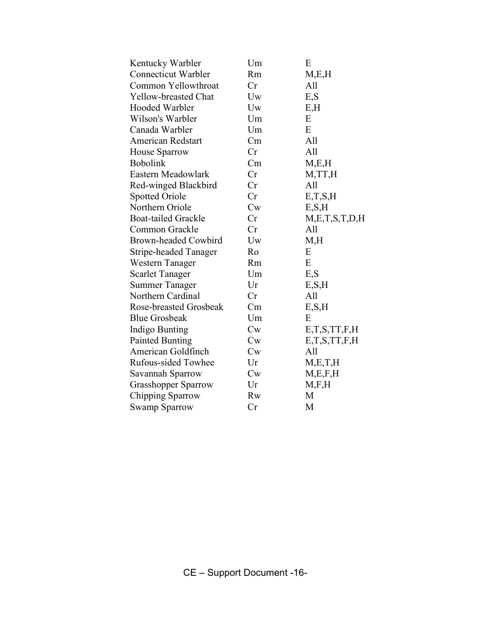| Kentucky Warbler             | Um        | E                 |
|------------------------------|-----------|-------------------|
| <b>Connecticut Warbler</b>   | <b>Rm</b> | M, E, H           |
| Common Yellowthroat          | Cr        | All               |
| Yellow-breasted Chat         | Uw        | E, S              |
| Hooded Warbler               | Uw        | E,H               |
| Wilson's Warbler             | Um        | E                 |
| Canada Warbler               | Um        | E                 |
| <b>American Redstart</b>     | Cm        | All               |
| House Sparrow                | Cr        | All               |
| <b>Bobolink</b>              | Cm        | M, E, H           |
| Eastern Meadowlark           | Cr        | M, TT, H          |
| Red-winged Blackbird         | Cr        | All               |
| <b>Spotted Oriole</b>        | Cr        | E,T,S,H           |
| Northern Oriole              | Cw        | E, S, H           |
| <b>Boat-tailed Grackle</b>   | Cr        | M,E,T,S,T,D,H     |
| Common Grackle               | Cr        | All               |
| Brown-headed Cowbird         | Uw        | M,H               |
| <b>Stripe-headed Tanager</b> | Ro        | E                 |
| Western Tanager              | Rm        | E                 |
| <b>Scarlet Tanager</b>       | Um        | E,S               |
| <b>Summer Tanager</b>        | Ur        | E, S, H           |
| Northern Cardinal            | Cr        | All               |
| Rose-breasted Grosbeak       | Cm        | E, S, H           |
| <b>Blue Grosbeak</b>         | Um        | E                 |
| Indigo Bunting               | Cw        | E, T, S, TT, F, H |
| <b>Painted Bunting</b>       | $C_{W}$   | E, T, S, TT, F, H |
| American Goldfinch           | $C_{W}$   | All               |
| Rufous-sided Towhee          | Ur        | M, E, T, H        |
| Savannah Sparrow             | $C_{W}$   | M, E, F, H        |
| Grasshopper Sparrow          | Ur        | M, F, H           |
| Chipping Sparrow             | <b>Rw</b> | M                 |
| <b>Swamp Sparrow</b>         | Cr        | M                 |
|                              |           |                   |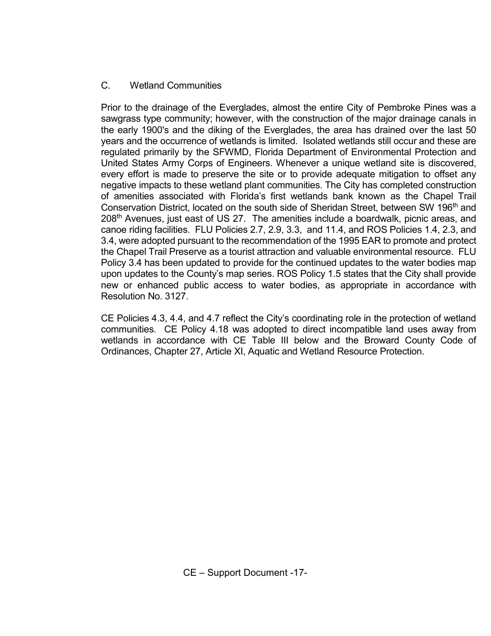# C. Wetland Communities

 Prior to the drainage of the Everglades, almost the entire City of Pembroke Pines was a sawgrass type community; however, with the construction of the major drainage canals in the early 1900's and the diking of the Everglades, the area has drained over the last 50 years and the occurrence of wetlands is limited. Isolated wetlands still occur and these are regulated primarily by the SFWMD, Florida Department of Environmental Protection and United States Army Corps of Engineers. Whenever a unique wetland site is discovered, every effort is made to preserve the site or to provide adequate mitigation to offset any negative impacts to these wetland plant communities. The City has completed construction of amenities associated with Florida's first wetlands bank known as the Chapel Trail Conservation District, located on the south side of Sheridan Street, between SW 196<sup>th</sup> and 208<sup>th</sup> Avenues, just east of US 27. The amenities include a boardwalk, picnic areas, and canoe riding facilities. FLU Policies 2.7, 2.9, 3.3, and 11.4, and ROS Policies 1.4, 2.3, and 3.4, were adopted pursuant to the recommendation of the 1995 EAR to promote and protect the Chapel Trail Preserve as a tourist attraction and valuable environmental resource. FLU Policy 3.4 has been updated to provide for the continued updates to the water bodies map upon updates to the County's map series. ROS Policy 1.5 states that the City shall provide new or enhanced public access to water bodies, as appropriate in accordance with Resolution No. 3127.

CE Policies 4.3, 4.4, and 4.7 reflect the City's coordinating role in the protection of wetland communities. CE Policy 4.18 was adopted to direct incompatible land uses away from wetlands in accordance with CE Table III below and the Broward County Code of Ordinances, Chapter 27, Article XI, Aquatic and Wetland Resource Protection.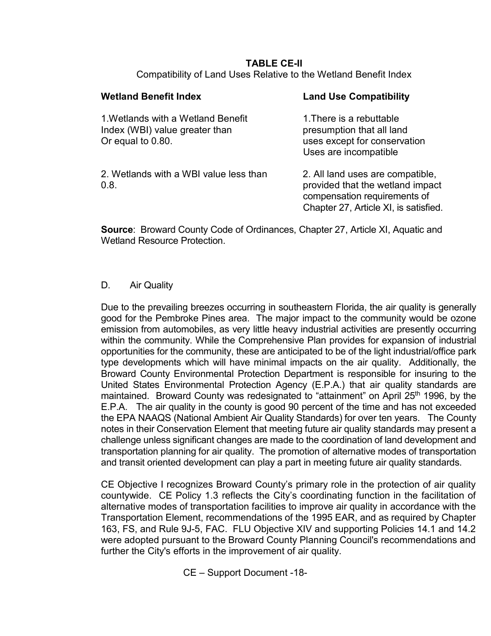#### TABLE CE-II Compatibility of Land Uses Relative to the Wetland Benefit Index

| <b>Wetland Benefit Index</b>                                                              | <b>Land Use Compatibility</b>                                                                                                                 |
|-------------------------------------------------------------------------------------------|-----------------------------------------------------------------------------------------------------------------------------------------------|
| 1. Wetlands with a Wetland Benefit<br>Index (WBI) value greater than<br>Or equal to 0.80. | 1. There is a rebuttable<br>presumption that all land<br>uses except for conservation<br>Uses are incompatible                                |
| 2. Wetlands with a WBI value less than<br>0.8.                                            | 2. All land uses are compatible,<br>provided that the wetland impact<br>compensation requirements of<br>Chapter 27, Article XI, is satisfied. |

Source: Broward County Code of Ordinances, Chapter 27, Article XI, Aquatic and Wetland Resource Protection.

### D. Air Quality

 Due to the prevailing breezes occurring in southeastern Florida, the air quality is generally good for the Pembroke Pines area. The major impact to the community would be ozone emission from automobiles, as very little heavy industrial activities are presently occurring within the community. While the Comprehensive Plan provides for expansion of industrial opportunities for the community, these are anticipated to be of the light industrial/office park type developments which will have minimal impacts on the air quality. Additionally, the Broward County Environmental Protection Department is responsible for insuring to the United States Environmental Protection Agency (E.P.A.) that air quality standards are maintained. Broward County was redesignated to "attainment" on April 25<sup>th</sup> 1996, by the E.P.A. The air quality in the county is good 90 percent of the time and has not exceeded the EPA NAAQS (National Ambient Air Quality Standards) for over ten years. The County notes in their Conservation Element that meeting future air quality standards may present a challenge unless significant changes are made to the coordination of land development and transportation planning for air quality. The promotion of alternative modes of transportation and transit oriented development can play a part in meeting future air quality standards.

CE Objective I recognizes Broward County's primary role in the protection of air quality countywide. CE Policy 1.3 reflects the City's coordinating function in the facilitation of alternative modes of transportation facilities to improve air quality in accordance with the Transportation Element, recommendations of the 1995 EAR, and as required by Chapter 163, FS, and Rule 9J-5, FAC. FLU Objective XIV and supporting Policies 14.1 and 14.2 were adopted pursuant to the Broward County Planning Council's recommendations and further the City's efforts in the improvement of air quality.

CE – Support Document -18-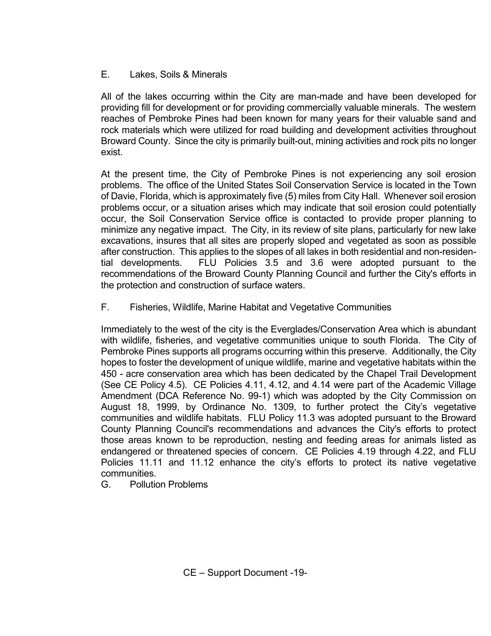# E. Lakes, Soils & Minerals

 All of the lakes occurring within the City are man-made and have been developed for providing fill for development or for providing commercially valuable minerals. The western reaches of Pembroke Pines had been known for many years for their valuable sand and rock materials which were utilized for road building and development activities throughout Broward County. Since the city is primarily built-out, mining activities and rock pits no longer exist.

At the present time, the City of Pembroke Pines is not experiencing any soil erosion problems. The office of the United States Soil Conservation Service is located in the Town of Davie, Florida, which is approximately five (5) miles from City Hall. Whenever soil erosion problems occur, or a situation arises which may indicate that soil erosion could potentially occur, the Soil Conservation Service office is contacted to provide proper planning to minimize any negative impact. The City, in its review of site plans, particularly for new lake excavations, insures that all sites are properly sloped and vegetated as soon as possible after construction. This applies to the slopes of all lakes in both residential and non-residential developments. FLU Policies 3.5 and 3.6 were adopted pursuant to the recommendations of the Broward County Planning Council and further the City's efforts in the protection and construction of surface waters.

F. Fisheries, Wildlife, Marine Habitat and Vegetative Communities

Immediately to the west of the city is the Everglades/Conservation Area which is abundant with wildlife, fisheries, and vegetative communities unique to south Florida. The City of Pembroke Pines supports all programs occurring within this preserve. Additionally, the City hopes to foster the development of unique wildlife, marine and vegetative habitats within the 450 - acre conservation area which has been dedicated by the Chapel Trail Development (See CE Policy 4.5). CE Policies 4.11, 4.12, and 4.14 were part of the Academic Village Amendment (DCA Reference No. 99-1) which was adopted by the City Commission on August 18, 1999, by Ordinance No. 1309, to further protect the City's vegetative communities and wildlife habitats. FLU Policy 11.3 was adopted pursuant to the Broward County Planning Council's recommendations and advances the City's efforts to protect those areas known to be reproduction, nesting and feeding areas for animals listed as endangered or threatened species of concern. CE Policies 4.19 through 4.22, and FLU Policies 11.11 and 11.12 enhance the city's efforts to protect its native vegetative communities.

G. Pollution Problems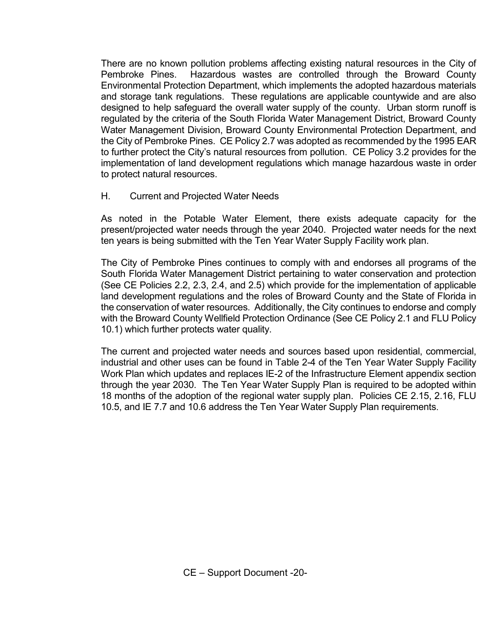There are no known pollution problems affecting existing natural resources in the City of Pembroke Pines. Hazardous wastes are controlled through the Broward County Environmental Protection Department, which implements the adopted hazardous materials and storage tank regulations. These regulations are applicable countywide and are also designed to help safeguard the overall water supply of the county. Urban storm runoff is regulated by the criteria of the South Florida Water Management District, Broward County Water Management Division, Broward County Environmental Protection Department, and the City of Pembroke Pines. CE Policy 2.7 was adopted as recommended by the 1995 EAR to further protect the City's natural resources from pollution. CE Policy 3.2 provides for the implementation of land development regulations which manage hazardous waste in order to protect natural resources.

#### H. Current and Projected Water Needs

 As noted in the Potable Water Element, there exists adequate capacity for the present/projected water needs through the year 2040. Projected water needs for the next ten years is being submitted with the Ten Year Water Supply Facility work plan.

 The City of Pembroke Pines continues to comply with and endorses all programs of the South Florida Water Management District pertaining to water conservation and protection (See CE Policies 2.2, 2.3, 2.4, and 2.5) which provide for the implementation of applicable land development regulations and the roles of Broward County and the State of Florida in the conservation of water resources. Additionally, the City continues to endorse and comply with the Broward County Wellfield Protection Ordinance (See CE Policy 2.1 and FLU Policy 10.1) which further protects water quality.

 The current and projected water needs and sources based upon residential, commercial, industrial and other uses can be found in Table 2-4 of the Ten Year Water Supply Facility Work Plan which updates and replaces IE-2 of the Infrastructure Element appendix section through the year 2030. The Ten Year Water Supply Plan is required to be adopted within 18 months of the adoption of the regional water supply plan. Policies CE 2.15, 2.16, FLU 10.5, and IE 7.7 and 10.6 address the Ten Year Water Supply Plan requirements.